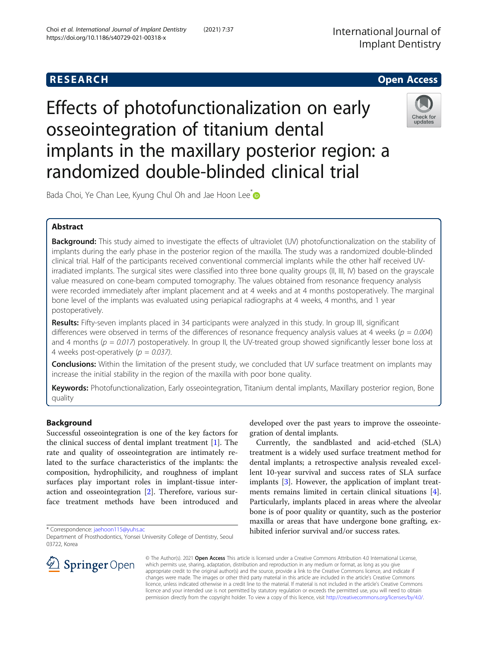# **RESEARCH CHILD CONTROL** CONTROL CONTROL CONTROL CONTROL CONTROL CONTROL CONTROL CONTROL CONTROL CONTROL CONTROL

# Effects of photofunctionalization on early osseointegration of titanium dental implants in the maxillary posterior region: a randomized double-blinded clinical trial



Bada Choi, Ye Chan Lee, Kyung Chul Oh and Jae Hoon Lee<sup>t</sup>

# Abstract

Background: This study aimed to investigate the effects of ultraviolet (UV) photofunctionalization on the stability of implants during the early phase in the posterior region of the maxilla. The study was a randomized double-blinded clinical trial. Half of the participants received conventional commercial implants while the other half received UVirradiated implants. The surgical sites were classified into three bone quality groups (II, III, IV) based on the grayscale value measured on cone-beam computed tomography. The values obtained from resonance frequency analysis were recorded immediately after implant placement and at 4 weeks and at 4 months postoperatively. The marginal bone level of the implants was evaluated using periapical radiographs at 4 weeks, 4 months, and 1 year postoperatively.

Results: Fifty-seven implants placed in 34 participants were analyzed in this study. In group III, significant differences were observed in terms of the differences of resonance frequency analysis values at 4 weeks ( $p = 0.004$ ) and 4 months ( $p = 0.017$ ) postoperatively. In group II, the UV-treated group showed significantly lesser bone loss at 4 weeks post-operatively ( $p = 0.037$ ).

**Conclusions:** Within the limitation of the present study, we concluded that UV surface treatment on implants may increase the initial stability in the region of the maxilla with poor bone quality.

Keywords: Photofunctionalization, Early osseointegration, Titanium dental implants, Maxillary posterior region, Bone quality

## Background

Successful osseointegration is one of the key factors for the clinical success of dental implant treatment [[1](#page-6-0)]. The rate and quality of osseointegration are intimately related to the surface characteristics of the implants: the composition, hydrophilicity, and roughness of implant surfaces play important roles in implant-tissue interaction and osseointegration [\[2](#page-6-0)]. Therefore, various surface treatment methods have been introduced and

\* Correspondence: [jaehoon115@yuhs.ac](mailto:jaehoon115@yuhs.ac)

Department of Prosthodontics, Yonsei University College of Dentistry, Seoul 03722, Korea



developed over the past years to improve the osseointegration of dental implants.

Currently, the sandblasted and acid-etched (SLA) treatment is a widely used surface treatment method for dental implants; a retrospective analysis revealed excellent 10-year survival and success rates of SLA surface implants [[3\]](#page-6-0). However, the application of implant treatments remains limited in certain clinical situations [\[4](#page-6-0)]. Particularly, implants placed in areas where the alveolar bone is of poor quality or quantity, such as the posterior maxilla or areas that have undergone bone grafting, exhibited inferior survival and/or success rates.

© The Author(s). 2021 Open Access This article is licensed under a Creative Commons Attribution 4.0 International License, which permits use, sharing, adaptation, distribution and reproduction in any medium or format, as long as you give appropriate credit to the original author(s) and the source, provide a link to the Creative Commons licence, and indicate if changes were made. The images or other third party material in this article are included in the article's Creative Commons licence, unless indicated otherwise in a credit line to the material. If material is not included in the article's Creative Commons licence and your intended use is not permitted by statutory regulation or exceeds the permitted use, you will need to obtain permission directly from the copyright holder. To view a copy of this licence, visit <http://creativecommons.org/licenses/by/4.0/>.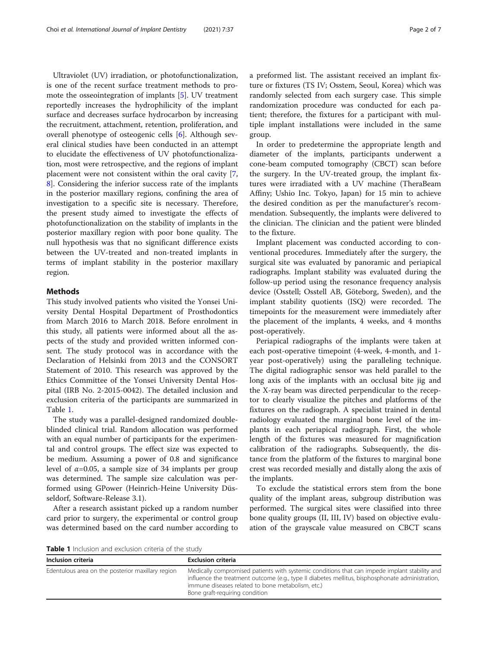Ultraviolet (UV) irradiation, or photofunctionalization, is one of the recent surface treatment methods to promote the osseointegration of implants [[5\]](#page-6-0). UV treatment reportedly increases the hydrophilicity of the implant surface and decreases surface hydrocarbon by increasing the recruitment, attachment, retention, proliferation, and overall phenotype of osteogenic cells [[6\]](#page-6-0). Although several clinical studies have been conducted in an attempt to elucidate the effectiveness of UV photofunctionalization, most were retrospective, and the regions of implant placement were not consistent within the oral cavity [\[7](#page-6-0), [8\]](#page-6-0). Considering the inferior success rate of the implants in the posterior maxillary regions, confining the area of investigation to a specific site is necessary. Therefore, the present study aimed to investigate the effects of photofunctionalization on the stability of implants in the posterior maxillary region with poor bone quality. The null hypothesis was that no significant difference exists between the UV-treated and non-treated implants in terms of implant stability in the posterior maxillary region.

#### Methods

This study involved patients who visited the Yonsei University Dental Hospital Department of Prosthodontics from March 2016 to March 2018. Before enrolment in this study, all patients were informed about all the aspects of the study and provided written informed consent. The study protocol was in accordance with the Declaration of Helsinki from 2013 and the CONSORT Statement of 2010. This research was approved by the Ethics Committee of the Yonsei University Dental Hospital (IRB No. 2-2015-0042). The detailed inclusion and exclusion criteria of the participants are summarized in Table 1.

The study was a parallel-designed randomized doubleblinded clinical trial. Random allocation was performed with an equal number of participants for the experimental and control groups. The effect size was expected to be medium. Assuming a power of 0.8 and significance level of  $\alpha$ =0.05, a sample size of 34 implants per group was determined. The sample size calculation was performed using GPower (Heinrich-Heine University Düsseldorf, Software-Release 3.1).

After a research assistant picked up a random number card prior to surgery, the experimental or control group was determined based on the card number according to a preformed list. The assistant received an implant fixture or fixtures (TS IV; Osstem, Seoul, Korea) which was randomly selected from each surgery case. This simple randomization procedure was conducted for each patient; therefore, the fixtures for a participant with multiple implant installations were included in the same group.

In order to predetermine the appropriate length and diameter of the implants, participants underwent a cone-beam computed tomography (CBCT) scan before the surgery. In the UV-treated group, the implant fixtures were irradiated with a UV machine (TheraBeam Affiny; Ushio Inc. Tokyo, Japan) for 15 min to achieve the desired condition as per the manufacturer's recommendation. Subsequently, the implants were delivered to the clinician. The clinician and the patient were blinded to the fixture.

Implant placement was conducted according to conventional procedures. Immediately after the surgery, the surgical site was evaluated by panoramic and periapical radiographs. Implant stability was evaluated during the follow-up period using the resonance frequency analysis device (Osstell; Osstell AB, Göteborg, Sweden), and the implant stability quotients (ISQ) were recorded. The timepoints for the measurement were immediately after the placement of the implants, 4 weeks, and 4 months post-operatively.

Periapical radiographs of the implants were taken at each post-operative timepoint (4-week, 4-month, and 1 year post-operatively) using the paralleling technique. The digital radiographic sensor was held parallel to the long axis of the implants with an occlusal bite jig and the X-ray beam was directed perpendicular to the receptor to clearly visualize the pitches and platforms of the fixtures on the radiograph. A specialist trained in dental radiology evaluated the marginal bone level of the implants in each periapical radiograph. First, the whole length of the fixtures was measured for magnification calibration of the radiographs. Subsequently, the distance from the platform of the fixtures to marginal bone crest was recorded mesially and distally along the axis of the implants.

To exclude the statistical errors stem from the bone quality of the implant areas, subgroup distribution was performed. The surgical sites were classified into three bone quality groups (II, III, IV) based on objective evaluation of the grayscale value measured on CBCT scans

Table 1 Inclusion and exclusion criteria of the study

| Inclusion criteria                                | <b>Exclusion criteria</b>                                                                                                                                                                                                                                                                |
|---------------------------------------------------|------------------------------------------------------------------------------------------------------------------------------------------------------------------------------------------------------------------------------------------------------------------------------------------|
| Edentulous area on the posterior maxillary region | Medically compromised patients with systemic conditions that can impede implant stability and<br>influence the treatment outcome (e.g., type II diabetes mellitus, bisphosphonate administration,<br>immune diseases related to bone metabolism, etc.)<br>Bone graft-requiring condition |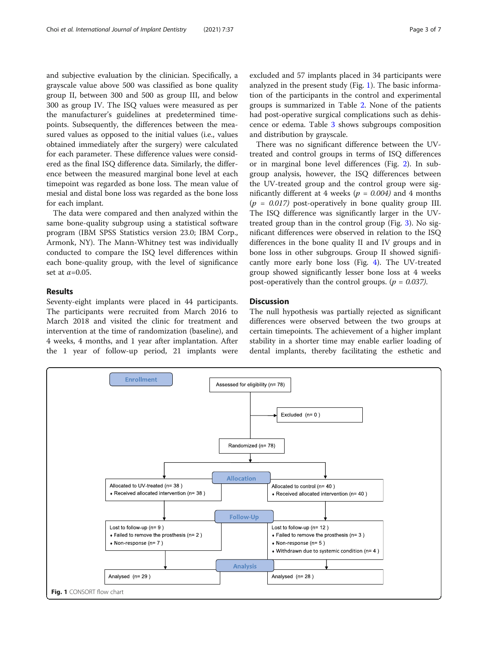and subjective evaluation by the clinician. Specifically, a grayscale value above 500 was classified as bone quality group II, between 300 and 500 as group III, and below 300 as group IV. The ISQ values were measured as per the manufacturer's guidelines at predetermined timepoints. Subsequently, the differences between the measured values as opposed to the initial values (i.e., values obtained immediately after the surgery) were calculated for each parameter. These difference values were considered as the final ISQ difference data. Similarly, the difference between the measured marginal bone level at each timepoint was regarded as bone loss. The mean value of mesial and distal bone loss was regarded as the bone loss for each implant.

The data were compared and then analyzed within the same bone-quality subgroup using a statistical software program (IBM SPSS Statistics version 23.0; IBM Corp., Armonk, NY). The Mann-Whitney test was individually conducted to compare the ISQ level differences within each bone-quality group, with the level of significance set at  $\alpha$ =0.05.

#### Results

Seventy-eight implants were placed in 44 participants. The participants were recruited from March 2016 to March 2018 and visited the clinic for treatment and intervention at the time of randomization (baseline), and 4 weeks, 4 months, and 1 year after implantation. After the 1 year of follow-up period, 21 implants were excluded and 57 implants placed in 34 participants were analyzed in the present study (Fig. 1). The basic information of the participants in the control and experimental groups is summarized in Table [2.](#page-3-0) None of the patients had post-operative surgical complications such as dehiscence or edema. Table [3](#page-3-0) shows subgroups composition and distribution by grayscale.

There was no significant difference between the UVtreated and control groups in terms of ISQ differences or in marginal bone level differences (Fig. [2\)](#page-4-0). In subgroup analysis, however, the ISQ differences between the UV-treated group and the control group were significantly different at 4 weeks ( $p = 0.004$ ) and 4 months  $(p = 0.017)$  post-operatively in bone quality group III. The ISQ difference was significantly larger in the UVtreated group than in the control group (Fig. [3](#page-4-0)). No significant differences were observed in relation to the ISQ differences in the bone quality II and IV groups and in bone loss in other subgroups. Group II showed significantly more early bone loss (Fig. [4](#page-5-0)). The UV-treated group showed significantly lesser bone loss at 4 weeks post-operatively than the control groups. ( $p = 0.037$ ).

### **Discussion**

The null hypothesis was partially rejected as significant differences were observed between the two groups at certain timepoints. The achievement of a higher implant stability in a shorter time may enable earlier loading of dental implants, thereby facilitating the esthetic and

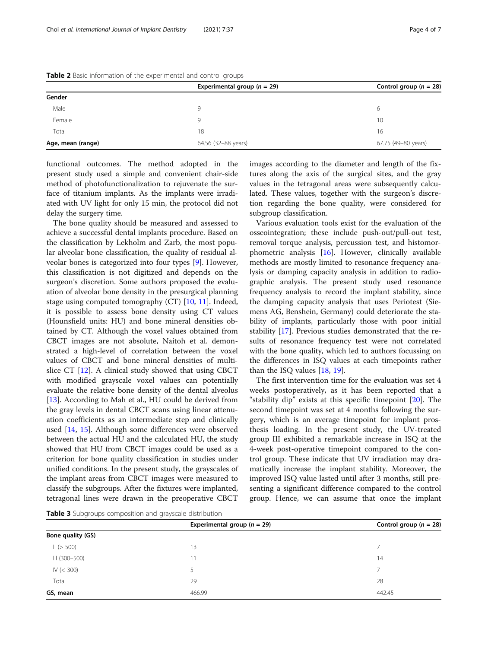|                   | Experimental group ( $n = 29$ ) | Control group ( $n = 28$ ) |
|-------------------|---------------------------------|----------------------------|
| Gender            |                                 |                            |
| Male              | Q                               | 6                          |
| Female            | Q                               | 10                         |
| Total             | 18                              | 16                         |
| Age, mean (range) | 64.56 (32-88 years)             | 67.75 (49-80 years)        |

<span id="page-3-0"></span>Table 2 Basic information of the experimental and control groups

functional outcomes. The method adopted in the present study used a simple and convenient chair-side method of photofunctionalization to rejuvenate the surface of titanium implants. As the implants were irradiated with UV light for only 15 min, the protocol did not delay the surgery time.

The bone quality should be measured and assessed to achieve a successful dental implants procedure. Based on the classification by Lekholm and Zarb, the most popular alveolar bone classification, the quality of residual alveolar bones is categorized into four types [\[9](#page-6-0)]. However, this classification is not digitized and depends on the surgeon's discretion. Some authors proposed the evaluation of alveolar bone density in the presurgical planning stage using computed tomography (CT) [\[10](#page-6-0), [11](#page-6-0)]. Indeed, it is possible to assess bone density using CT values (Hounsfield units: HU) and bone mineral densities obtained by CT. Although the voxel values obtained from CBCT images are not absolute, Naitoh et al. demonstrated a high-level of correlation between the voxel values of CBCT and bone mineral densities of multislice CT [\[12\]](#page-6-0). A clinical study showed that using CBCT with modified grayscale voxel values can potentially evaluate the relative bone density of the dental alveolus [[13\]](#page-6-0). According to Mah et al., HU could be derived from the gray levels in dental CBCT scans using linear attenuation coefficients as an intermediate step and clinically used [\[14](#page-6-0), [15\]](#page-6-0). Although some differences were observed between the actual HU and the calculated HU, the study showed that HU from CBCT images could be used as a criterion for bone quality classification in studies under unified conditions. In the present study, the grayscales of the implant areas from CBCT images were measured to classify the subgroups. After the fixtures were implanted, tetragonal lines were drawn in the preoperative CBCT images according to the diameter and length of the fixtures along the axis of the surgical sites, and the gray values in the tetragonal areas were subsequently calculated. These values, together with the surgeon's discretion regarding the bone quality, were considered for subgroup classification.

Various evaluation tools exist for the evaluation of the osseointegration; these include push-out/pull-out test, removal torque analysis, percussion test, and histomorphometric analysis [\[16](#page-6-0)]. However, clinically available methods are mostly limited to resonance frequency analysis or damping capacity analysis in addition to radiographic analysis. The present study used resonance frequency analysis to record the implant stability, since the damping capacity analysis that uses Periotest (Siemens AG, Benshein, Germany) could deteriorate the stability of implants, particularly those with poor initial stability [\[17\]](#page-6-0). Previous studies demonstrated that the results of resonance frequency test were not correlated with the bone quality, which led to authors focussing on the differences in ISQ values at each timepoints rather than the ISQ values [[18,](#page-6-0) [19](#page-6-0)].

The first intervention time for the evaluation was set 4 weeks postoperatively, as it has been reported that a "stability dip" exists at this specific timepoint [\[20\]](#page-6-0). The second timepoint was set at 4 months following the surgery, which is an average timepoint for implant prosthesis loading. In the present study, the UV-treated group III exhibited a remarkable increase in ISQ at the 4-week post-operative timepoint compared to the control group. These indicate that UV irradiation may dramatically increase the implant stability. Moreover, the improved ISQ value lasted until after 3 months, still presenting a significant difference compared to the control group. Hence, we can assume that once the implant

Table 3 Subgroups composition and grayscale distribution

| <b>TWAIL 3</b> Superioups composition and grayscale distribution |                                 |                            |  |
|------------------------------------------------------------------|---------------------------------|----------------------------|--|
|                                                                  | Experimental group ( $n = 29$ ) | Control group ( $n = 28$ ) |  |
| Bone quality (GS)                                                |                                 |                            |  |
| II(> 500)                                                        | 13                              |                            |  |
| III (300–500)                                                    | 11                              | 14                         |  |
| IV (< 300)                                                       |                                 |                            |  |
| Total                                                            | 29                              | 28                         |  |
| GS, mean                                                         | 466.99                          | 442.45                     |  |
|                                                                  |                                 |                            |  |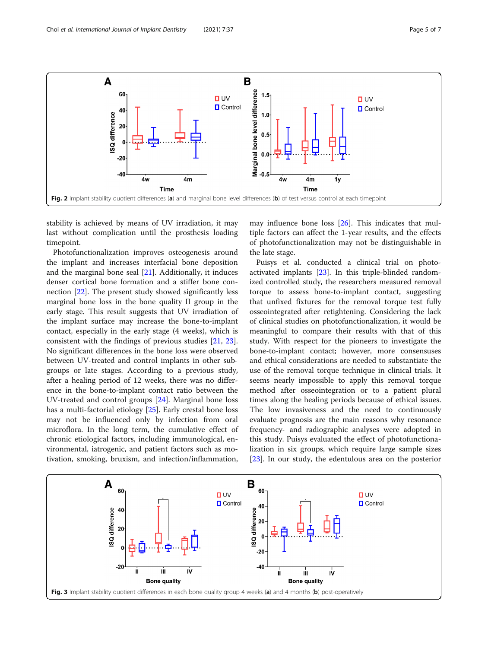<span id="page-4-0"></span>

stability is achieved by means of UV irradiation, it may last without complication until the prosthesis loading timepoint.

Photofunctionalization improves osteogenesis around the implant and increases interfacial bone deposition and the marginal bone seal [\[21\]](#page-6-0). Additionally, it induces denser cortical bone formation and a stiffer bone connection [[22](#page-6-0)]. The present study showed significantly less marginal bone loss in the bone quality II group in the early stage. This result suggests that UV irradiation of the implant surface may increase the bone-to-implant contact, especially in the early stage (4 weeks), which is consistent with the findings of previous studies [[21,](#page-6-0) [23](#page-6-0)]. No significant differences in the bone loss were observed between UV-treated and control implants in other subgroups or late stages. According to a previous study, after a healing period of 12 weeks, there was no difference in the bone-to-implant contact ratio between the UV-treated and control groups [\[24](#page-6-0)]. Marginal bone loss has a multi-factorial etiology [[25\]](#page-6-0). Early crestal bone loss may not be influenced only by infection from oral microflora. In the long term, the cumulative effect of chronic etiological factors, including immunological, environmental, iatrogenic, and patient factors such as motivation, smoking, bruxism, and infection/inflammation, may influence bone loss [[26](#page-6-0)]. This indicates that multiple factors can affect the 1-year results, and the effects of photofunctionalization may not be distinguishable in the late stage.

Puisys et al. conducted a clinical trial on photoactivated implants [\[23\]](#page-6-0). In this triple-blinded randomized controlled study, the researchers measured removal torque to assess bone-to-implant contact, suggesting that unfixed fixtures for the removal torque test fully osseointegrated after retightening. Considering the lack of clinical studies on photofunctionalization, it would be meaningful to compare their results with that of this study. With respect for the pioneers to investigate the bone-to-implant contact; however, more consensuses and ethical considerations are needed to substantiate the use of the removal torque technique in clinical trials. It seems nearly impossible to apply this removal torque method after osseointegration or to a patient plural times along the healing periods because of ethical issues. The low invasiveness and the need to continuously evaluate prognosis are the main reasons why resonance frequency- and radiographic analyses were adopted in this study. Puisys evaluated the effect of photofunctionalization in six groups, which require large sample sizes [[23\]](#page-6-0). In our study, the edentulous area on the posterior

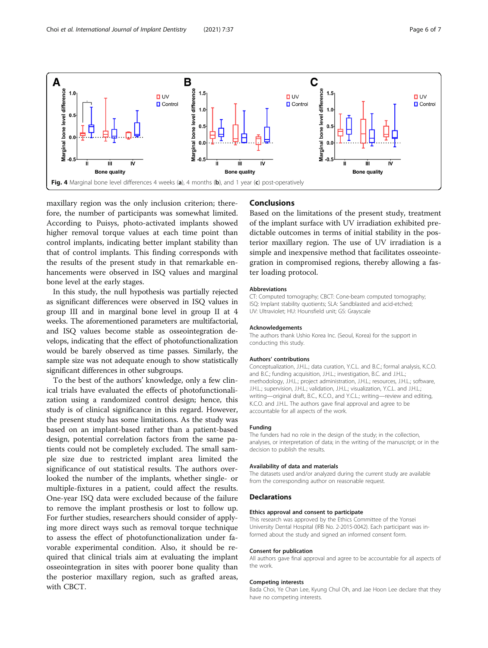<span id="page-5-0"></span>

maxillary region was the only inclusion criterion; therefore, the number of participants was somewhat limited. According to Puisys, photo-activated implants showed higher removal torque values at each time point than control implants, indicating better implant stability than that of control implants. This finding corresponds with the results of the present study in that remarkable enhancements were observed in ISQ values and marginal bone level at the early stages.

In this study, the null hypothesis was partially rejected as significant differences were observed in ISQ values in group III and in marginal bone level in group II at 4 weeks. The aforementioned parameters are multifactorial, and ISQ values become stable as osseointegration develops, indicating that the effect of photofunctionalization would be barely observed as time passes. Similarly, the sample size was not adequate enough to show statistically significant differences in other subgroups.

To the best of the authors' knowledge, only a few clinical trials have evaluated the effects of photofunctionalization using a randomized control design; hence, this study is of clinical significance in this regard. However, the present study has some limitations. As the study was based on an implant-based rather than a patient-based design, potential correlation factors from the same patients could not be completely excluded. The small sample size due to restricted implant area limited the significance of out statistical results. The authors overlooked the number of the implants, whether single- or multiple-fixtures in a patient, could affect the results. One-year ISQ data were excluded because of the failure to remove the implant prosthesis or lost to follow up. For further studies, researchers should consider of applying more direct ways such as removal torque technique to assess the effect of photofunctionalization under favorable experimental condition. Also, it should be required that clinical trials aim at evaluating the implant osseointegration in sites with poorer bone quality than the posterior maxillary region, such as grafted areas, with CBCT.

#### Conclusions

Based on the limitations of the present study, treatment of the implant surface with UV irradiation exhibited predictable outcomes in terms of initial stability in the posterior maxillary region. The use of UV irradiation is a simple and inexpensive method that facilitates osseointegration in compromised regions, thereby allowing a faster loading protocol.

#### Abbreviations

CT: Computed tomography; CBCT: Cone-beam computed tomography; ISQ: Implant stability quotients; SLA: Sandblasted and acid-etched; UV: Ultraviolet; HU: Hounsfield unit; GS: Grayscale

#### Acknowledgements

The authors thank Ushio Korea Inc. (Seoul, Korea) for the support in conducting this study.

#### Authors' contributions

Conceptualization, J.H.L.; data curation, Y.C.L. and B.C.; formal analysis, K.C.O. and B.C.; funding acquisition, J.H.L.; investigation, B.C. and J.H.L.; methodology, J.H.L.; project administration, J.H.L.; resources, J.H.L.; software, J.H.L.; supervision, J.H.L.; validation, J.H.L.; visualization, Y.C.L. and J.H.L.; writing—original draft, B.C., K.C.O., and Y.C.L.; writing—review and editing, K.C.O. and J.H.L. The authors gave final approval and agree to be accountable for all aspects of the work.

#### Funding

The funders had no role in the design of the study; in the collection, analyses, or interpretation of data; in the writing of the manuscript; or in the decision to publish the results.

#### Availability of data and materials

The datasets used and/or analyzed during the current study are available from the corresponding author on reasonable request.

#### Declarations

#### Ethics approval and consent to participate

This research was approved by the Ethics Committee of the Yonsei University Dental Hospital (IRB No. 2-2015-0042). Each participant was informed about the study and signed an informed consent form.

#### Consent for publication

All authors gave final approval and agree to be accountable for all aspects of the work.

#### Competing interests

Bada Choi, Ye Chan Lee, Kyung Chul Oh, and Jae Hoon Lee declare that they have no competing interests.